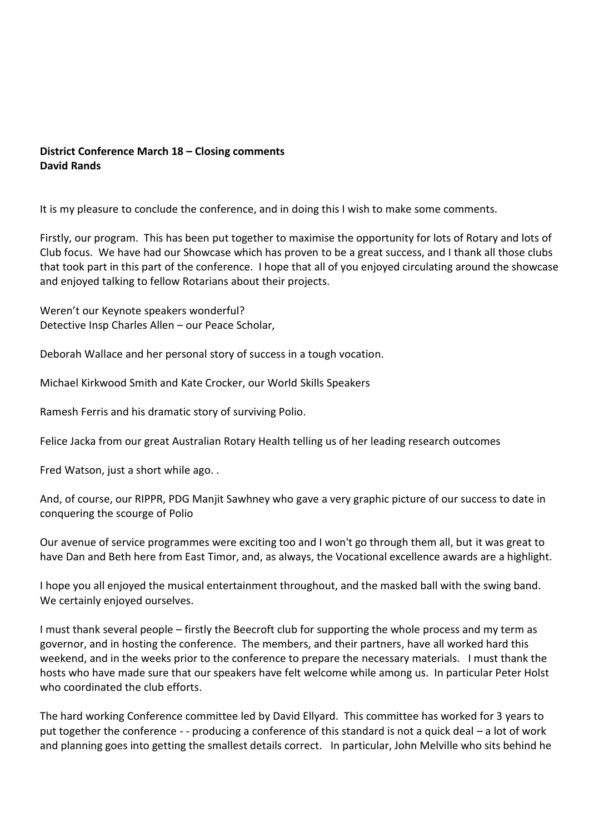## **District Conference March 18 – Closing comments David Rands**

It is my pleasure to conclude the conference, and in doing this I wish to make some comments.

Firstly, our program. This has been put together to maximise the opportunity for lots of Rotary and lots of Club focus. We have had our Showcase which has proven to be a great success, and I thank all those clubs that took part in this part of the conference. I hope that all of you enjoyed circulating around the showcase and enjoyed talking to fellow Rotarians about their projects.

Weren't our Keynote speakers wonderful? Detective Insp Charles Allen – our Peace Scholar,

Deborah Wallace and her personal story of success in a tough vocation.

Michael Kirkwood Smith and Kate Crocker, our World Skills Speakers

Ramesh Ferris and his dramatic story of surviving Polio.

Felice Jacka from our great Australian Rotary Health telling us of her leading research outcomes

Fred Watson, just a short while ago. .

And, of course, our RIPPR, PDG Manjit Sawhney who gave a very graphic picture of our success to date in conquering the scourge of Polio

Our avenue of service programmes were exciting too and I won't go through them all, but it was great to have Dan and Beth here from East Timor, and, as always, the Vocational excellence awards are a highlight.

I hope you all enjoyed the musical entertainment throughout, and the masked ball with the swing band. We certainly enjoyed ourselves.

I must thank several people – firstly the Beecroft club for supporting the whole process and my term as governor, and in hosting the conference. The members, and their partners, have all worked hard this weekend, and in the weeks prior to the conference to prepare the necessary materials. I must thank the hosts who have made sure that our speakers have felt welcome while among us. In particular Peter Holst who coordinated the club efforts.

The hard working Conference committee led by David Ellyard. This committee has worked for 3 years to put together the conference - - producing a conference of this standard is not a quick deal – a lot of work and planning goes into getting the smallest details correct. In particular, John Melville who sits behind he